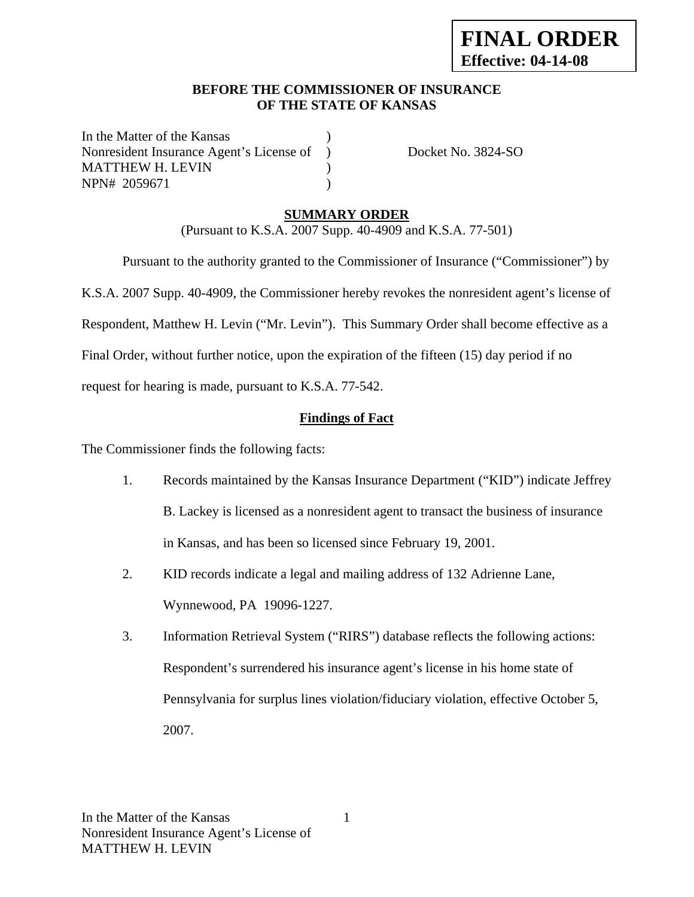#### **BEFORE THE COMMISSIONER OF INSURANCE OF THE STATE OF KANSAS**

In the Matter of the Kansas Nonresident Insurance Agent's License of ) Docket No. 3824-SO MATTHEW H. LEVIN (1997) NPN# 2059671 )

## **SUMMARY ORDER**

(Pursuant to K.S.A. 2007 Supp. 40-4909 and K.S.A. 77-501)

 Pursuant to the authority granted to the Commissioner of Insurance ("Commissioner") by K.S.A. 2007 Supp. 40-4909, the Commissioner hereby revokes the nonresident agent's license of Respondent, Matthew H. Levin ("Mr. Levin"). This Summary Order shall become effective as a Final Order, without further notice, upon the expiration of the fifteen (15) day period if no request for hearing is made, pursuant to K.S.A. 77-542.

## **Findings of Fact**

The Commissioner finds the following facts:

- 1. Records maintained by the Kansas Insurance Department ("KID") indicate Jeffrey B. Lackey is licensed as a nonresident agent to transact the business of insurance in Kansas, and has been so licensed since February 19, 2001.
- 2. KID records indicate a legal and mailing address of 132 Adrienne Lane, Wynnewood, PA 19096-1227.
- 3. Information Retrieval System ("RIRS") database reflects the following actions: Respondent's surrendered his insurance agent's license in his home state of Pennsylvania for surplus lines violation/fiduciary violation, effective October 5, 2007.

1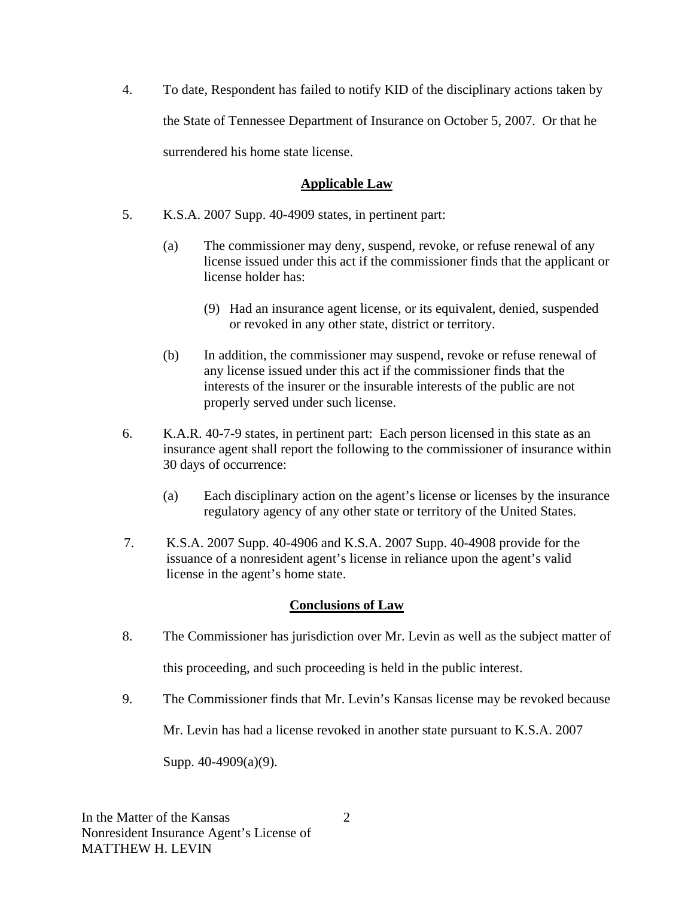4. To date, Respondent has failed to notify KID of the disciplinary actions taken by the State of Tennessee Department of Insurance on October 5, 2007. Or that he surrendered his home state license.

#### **Applicable Law**

- 5. K.S.A. 2007 Supp. 40-4909 states, in pertinent part:
	- (a) The commissioner may deny, suspend, revoke, or refuse renewal of any license issued under this act if the commissioner finds that the applicant or license holder has:
		- (9) Had an insurance agent license, or its equivalent, denied, suspended or revoked in any other state, district or territory.
	- (b) In addition, the commissioner may suspend, revoke or refuse renewal of any license issued under this act if the commissioner finds that the interests of the insurer or the insurable interests of the public are not properly served under such license.
- 6. K.A.R. 40-7-9 states, in pertinent part: Each person licensed in this state as an insurance agent shall report the following to the commissioner of insurance within 30 days of occurrence:
	- (a) Each disciplinary action on the agent's license or licenses by the insurance regulatory agency of any other state or territory of the United States.
- 7. K.S.A. 2007 Supp. 40-4906 and K.S.A. 2007 Supp. 40-4908 provide for the issuance of a nonresident agent's license in reliance upon the agent's valid license in the agent's home state.

### **Conclusions of Law**

- 8. The Commissioner has jurisdiction over Mr. Levin as well as the subject matter of this proceeding, and such proceeding is held in the public interest.
- 9. The Commissioner finds that Mr. Levin's Kansas license may be revoked because

Mr. Levin has had a license revoked in another state pursuant to K.S.A. 2007

Supp. 40-4909(a)(9).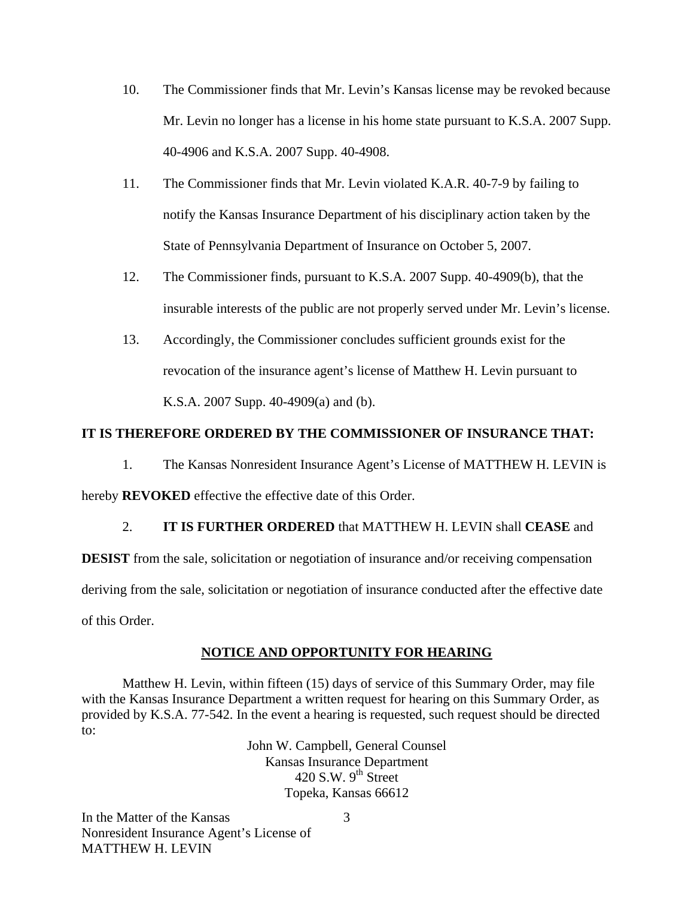- 10. The Commissioner finds that Mr. Levin's Kansas license may be revoked because Mr. Levin no longer has a license in his home state pursuant to K.S.A. 2007 Supp. 40-4906 and K.S.A. 2007 Supp. 40-4908.
- 11. The Commissioner finds that Mr. Levin violated K.A.R. 40-7-9 by failing to notify the Kansas Insurance Department of his disciplinary action taken by the State of Pennsylvania Department of Insurance on October 5, 2007.
- 12. The Commissioner finds, pursuant to K.S.A. 2007 Supp. 40-4909(b), that the insurable interests of the public are not properly served under Mr. Levin's license.
- 13. Accordingly, the Commissioner concludes sufficient grounds exist for the revocation of the insurance agent's license of Matthew H. Levin pursuant to K.S.A. 2007 Supp. 40-4909(a) and (b).

### **IT IS THEREFORE ORDERED BY THE COMMISSIONER OF INSURANCE THAT:**

1. The Kansas Nonresident Insurance Agent's License of MATTHEW H. LEVIN is hereby **REVOKED** effective the effective date of this Order.

### 2. **IT IS FURTHER ORDERED** that MATTHEW H. LEVIN shall **CEASE** and

**DESIST** from the sale, solicitation or negotiation of insurance and/or receiving compensation deriving from the sale, solicitation or negotiation of insurance conducted after the effective date of this Order.

#### **NOTICE AND OPPORTUNITY FOR HEARING**

Matthew H. Levin, within fifteen (15) days of service of this Summary Order, may file with the Kansas Insurance Department a written request for hearing on this Summary Order, as provided by K.S.A. 77-542. In the event a hearing is requested, such request should be directed to:

> John W. Campbell, General Counsel Kansas Insurance Department 420 S.W.  $9<sup>th</sup>$  Street Topeka, Kansas 66612

In the Matter of the Kansas Nonresident Insurance Agent's License of MATTHEW H. LEVIN

3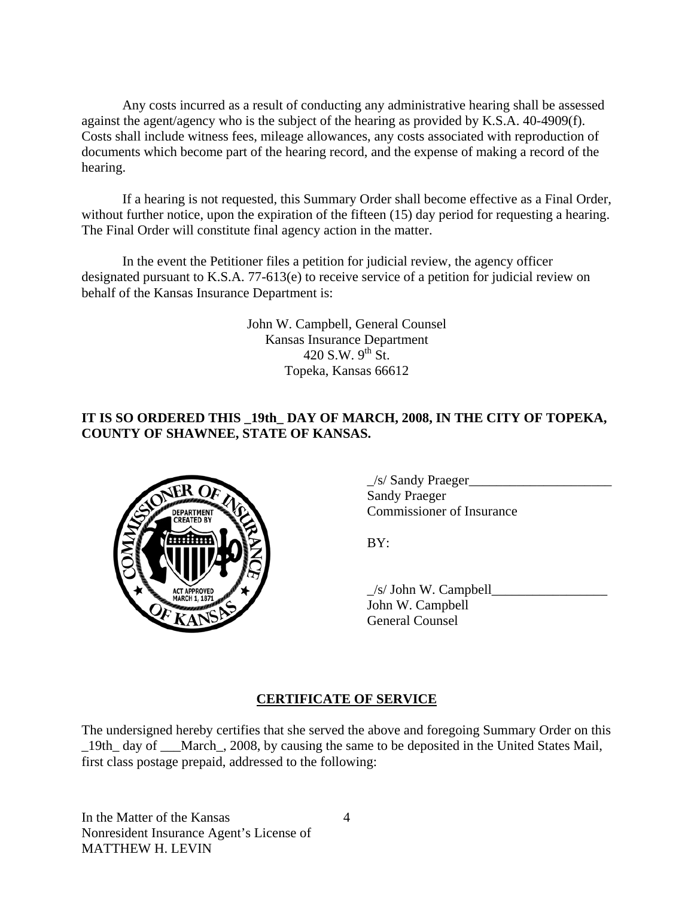Any costs incurred as a result of conducting any administrative hearing shall be assessed against the agent/agency who is the subject of the hearing as provided by K.S.A. 40-4909(f). Costs shall include witness fees, mileage allowances, any costs associated with reproduction of documents which become part of the hearing record, and the expense of making a record of the hearing.

If a hearing is not requested, this Summary Order shall become effective as a Final Order, without further notice, upon the expiration of the fifteen (15) day period for requesting a hearing. The Final Order will constitute final agency action in the matter.

In the event the Petitioner files a petition for judicial review, the agency officer designated pursuant to K.S.A. 77-613(e) to receive service of a petition for judicial review on behalf of the Kansas Insurance Department is:

> John W. Campbell, General Counsel Kansas Insurance Department 420 S.W.  $9^{th}$  St. Topeka, Kansas 66612

# **IT IS SO ORDERED THIS \_19th\_ DAY OF MARCH, 2008, IN THE CITY OF TOPEKA, COUNTY OF SHAWNEE, STATE OF KANSAS.**



 $\angle$ s/ Sandy Praeger Sandy Praeger Commissioner of Insurance

 $\angle$ s/ John W. Campbell $\angle$  John W. Campbell General Counsel

# **CERTIFICATE OF SERVICE**

The undersigned hereby certifies that she served the above and foregoing Summary Order on this \_19th\_ day of \_\_\_March\_, 2008, by causing the same to be deposited in the United States Mail, first class postage prepaid, addressed to the following:

In the Matter of the Kansas Nonresident Insurance Agent's License of MATTHEW H. LEVIN